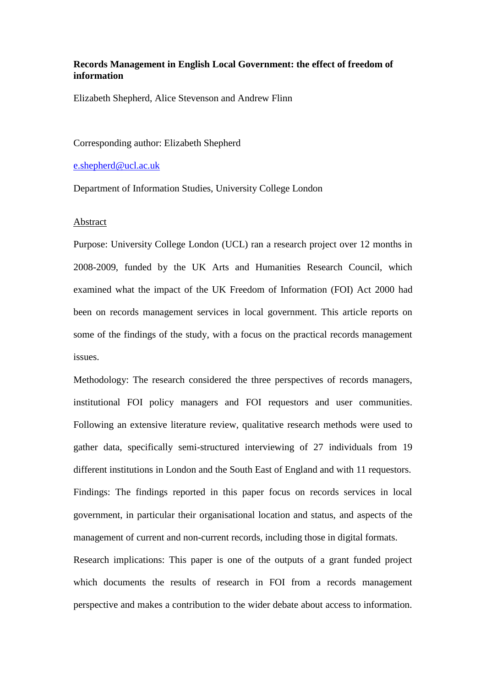# **Records Management in English Local Government: the effect of freedom of information**

Elizabeth Shepherd, Alice Stevenson and Andrew Flinn

Corresponding author: Elizabeth Shepherd

[e.shepherd@ucl.ac.uk](mailto:e.shepherd@ucl.ac.uk)

Department of Information Studies, University College London

### Abstract

Purpose: University College London (UCL) ran a research project over 12 months in 2008-2009, funded by the UK Arts and Humanities Research Council, which examined what the impact of the UK Freedom of Information (FOI) Act 2000 had been on records management services in local government. This article reports on some of the findings of the study, with a focus on the practical records management issues.

Methodology: The research considered the three perspectives of records managers, institutional FOI policy managers and FOI requestors and user communities. Following an extensive literature review, qualitative research methods were used to gather data, specifically semi-structured interviewing of 27 individuals from 19 different institutions in London and the South East of England and with 11 requestors. Findings: The findings reported in this paper focus on records services in local government, in particular their organisational location and status, and aspects of the management of current and non-current records, including those in digital formats. Research implications: This paper is one of the outputs of a grant funded project which documents the results of research in FOI from a records management perspective and makes a contribution to the wider debate about access to information.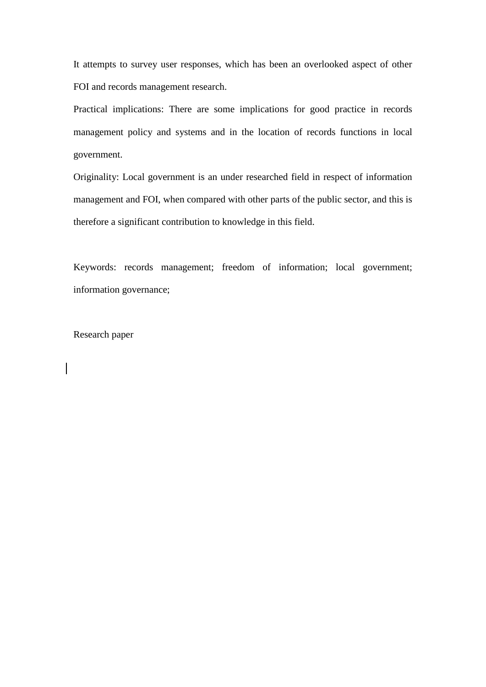It attempts to survey user responses, which has been an overlooked aspect of other FOI and records management research.

Practical implications: There are some implications for good practice in records management policy and systems and in the location of records functions in local government.

Originality: Local government is an under researched field in respect of information management and FOI, when compared with other parts of the public sector, and this is therefore a significant contribution to knowledge in this field.

Keywords: records management; freedom of information; local government; information governance;

Research paper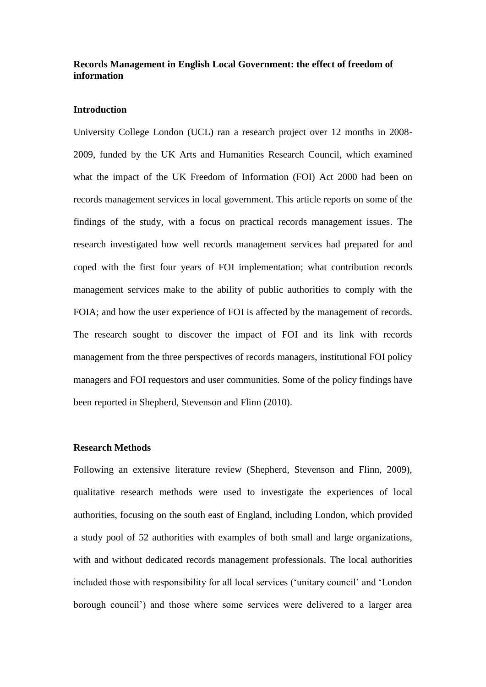# **Records Management in English Local Government: the effect of freedom of information**

#### **Introduction**

University College London (UCL) ran a research project over 12 months in 2008- 2009, funded by the UK Arts and Humanities Research Council, which examined what the impact of the UK Freedom of Information (FOI) Act 2000 had been on records management services in local government. This article reports on some of the findings of the study, with a focus on practical records management issues. The research investigated how well records management services had prepared for and coped with the first four years of FOI implementation; what contribution records management services make to the ability of public authorities to comply with the FOIA; and how the user experience of FOI is affected by the management of records. The research sought to discover the impact of FOI and its link with records management from the three perspectives of records managers, institutional FOI policy managers and FOI requestors and user communities. Some of the policy findings have been reported in Shepherd, Stevenson and Flinn (2010).

## **Research Methods**

Following an extensive literature review (Shepherd, Stevenson and Flinn, 2009), qualitative research methods were used to investigate the experiences of local authorities, focusing on the south east of England, including London, which provided a study pool of 52 authorities with examples of both small and large organizations, with and without dedicated records management professionals. The local authorities included those with responsibility for all local services ('unitary council' and 'London borough council') and those where some services were delivered to a larger area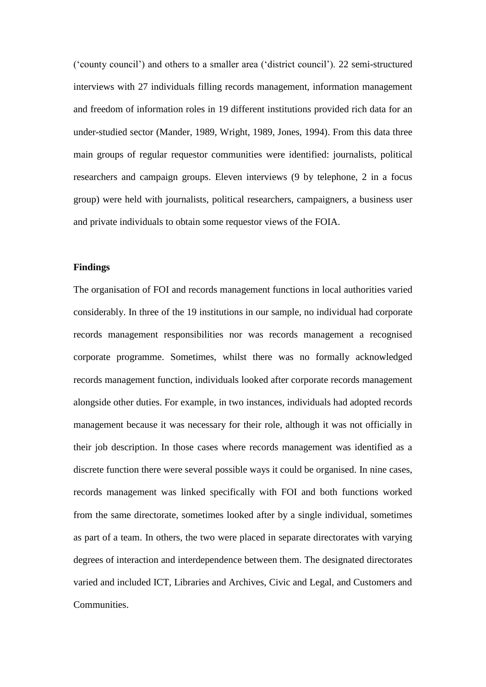('county council') and others to a smaller area ('district council'). 22 semi-structured interviews with 27 individuals filling records management, information management and freedom of information roles in 19 different institutions provided rich data for an under-studied sector (Mander, 1989, Wright, 1989, Jones, 1994). From this data three main groups of regular requestor communities were identified: journalists, political researchers and campaign groups. Eleven interviews (9 by telephone, 2 in a focus group) were held with journalists, political researchers, campaigners, a business user and private individuals to obtain some requestor views of the FOIA.

# **Findings**

The organisation of FOI and records management functions in local authorities varied considerably. In three of the 19 institutions in our sample, no individual had corporate records management responsibilities nor was records management a recognised corporate programme. Sometimes, whilst there was no formally acknowledged records management function, individuals looked after corporate records management alongside other duties. For example, in two instances, individuals had adopted records management because it was necessary for their role, although it was not officially in their job description. In those cases where records management was identified as a discrete function there were several possible ways it could be organised. In nine cases, records management was linked specifically with FOI and both functions worked from the same directorate, sometimes looked after by a single individual, sometimes as part of a team. In others, the two were placed in separate directorates with varying degrees of interaction and interdependence between them. The designated directorates varied and included ICT, Libraries and Archives, Civic and Legal, and Customers and **Communities.**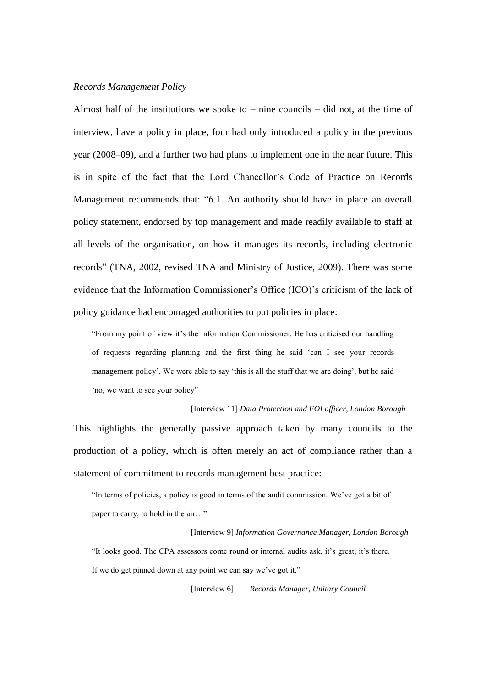## *Records Management Policy*

Almost half of the institutions we spoke to – nine councils – did not, at the time of interview, have a policy in place, four had only introduced a policy in the previous year (2008–09), and a further two had plans to implement one in the near future. This is in spite of the fact that the Lord Chancellor's Code of Practice on Records Management recommends that: "6.1. An authority should have in place an overall policy statement, endorsed by top management and made readily available to staff at all levels of the organisation, on how it manages its records, including electronic records" (TNA, 2002, revised TNA and Ministry of Justice, 2009). There was some evidence that the Information Commissioner's Office (ICO)'s criticism of the lack of policy guidance had encouraged authorities to put policies in place:

"From my point of view it's the Information Commissioner. He has criticised our handling of requests regarding planning and the first thing he said 'can I see your records management policy'. We were able to say 'this is all the stuff that we are doing', but he said 'no, we want to see your policy"

This highlights the generally passive approach taken by many councils to the production of a policy, which is often merely an act of compliance rather than a statement of commitment to records management best practice:

"In terms of policies, a policy is good in terms of the audit commission. We've got a bit of paper to carry, to hold in the air…"

[Interview 9] *Information Governance Manager, London Borough* "It looks good. The CPA assessors come round or internal audits ask, it's great, it's there. If we do get pinned down at any point we can say we've got it."

[Interview 6] *Records Manager, Unitary Council*

[Interview 11] *Data Protection and FOI officer, London Borough*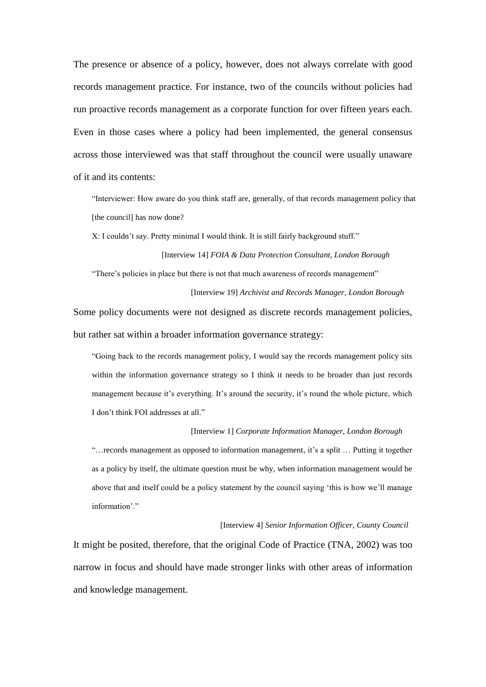The presence or absence of a policy, however, does not always correlate with good records management practice. For instance, two of the councils without policies had run proactive records management as a corporate function for over fifteen years each. Even in those cases where a policy had been implemented, the general consensus across those interviewed was that staff throughout the council were usually unaware of it and its contents:

"Interviewer: How aware do you think staff are, generally, of that records management policy that [the council] has now done?

X: I couldn't say. Pretty minimal I would think. It is still fairly background stuff."

# [Interview 14] *FOIA & Data Protection Consultant, London Borough*

"There's policies in place but there is not that much awareness of records management"

[Interview 19] *Archivist and Records Manager, London Borough* Some policy documents were not designed as discrete records management policies, but rather sat within a broader information governance strategy:

"Going back to the records management policy, I would say the records management policy sits within the information governance strategy so I think it needs to be broader than just records management because it's everything. It's around the security, it's round the whole picture, which I don't think FOI addresses at all."

#### [Interview 1] *Corporate Information Manager, London Borough*

"…records management as opposed to information management, it's a split … Putting it together as a policy by itself, the ultimate question must be why, when information management would be above that and itself could be a policy statement by the council saying 'this is how we'll manage information'."

#### [Interview 4] *Senior Information Officer, County Council*

It might be posited, therefore, that the original Code of Practice (TNA, 2002) was too narrow in focus and should have made stronger links with other areas of information and knowledge management.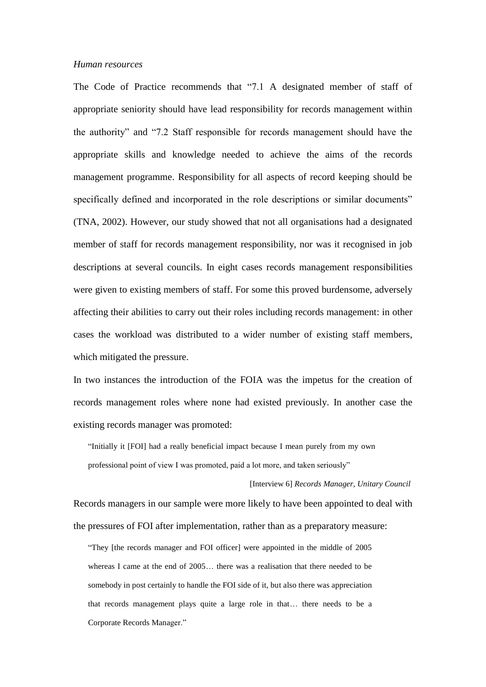#### *Human resources*

The Code of Practice recommends that "7.1 A designated member of staff of appropriate seniority should have lead responsibility for records management within the authority" and "7.2 Staff responsible for records management should have the appropriate skills and knowledge needed to achieve the aims of the records management programme. Responsibility for all aspects of record keeping should be specifically defined and incorporated in the role descriptions or similar documents" (TNA, 2002). However, our study showed that not all organisations had a designated member of staff for records management responsibility, nor was it recognised in job descriptions at several councils. In eight cases records management responsibilities were given to existing members of staff. For some this proved burdensome, adversely affecting their abilities to carry out their roles including records management: in other cases the workload was distributed to a wider number of existing staff members, which mitigated the pressure.

In two instances the introduction of the FOIA was the impetus for the creation of records management roles where none had existed previously. In another case the existing records manager was promoted:

"Initially it [FOI] had a really beneficial impact because I mean purely from my own professional point of view I was promoted, paid a lot more, and taken seriously"

[Interview 6] *Records Manager, Unitary Council*

Records managers in our sample were more likely to have been appointed to deal with the pressures of FOI after implementation, rather than as a preparatory measure:

"They [the records manager and FOI officer] were appointed in the middle of 2005 whereas I came at the end of 2005… there was a realisation that there needed to be somebody in post certainly to handle the FOI side of it, but also there was appreciation that records management plays quite a large role in that… there needs to be a Corporate Records Manager."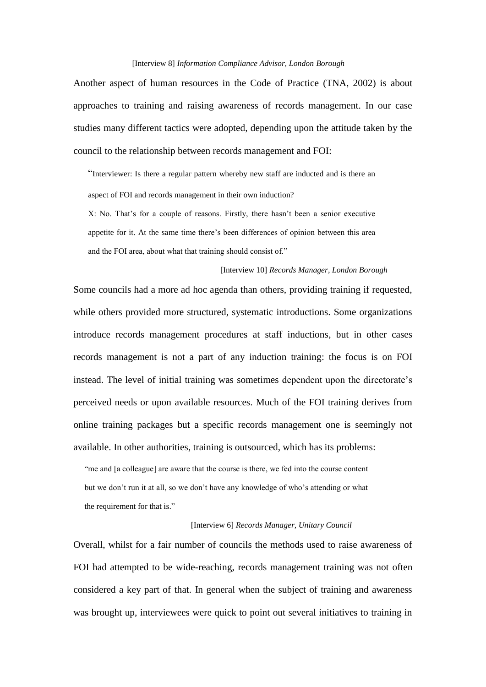#### [Interview 8] *Information Compliance Advisor, London Borough*

Another aspect of human resources in the Code of Practice (TNA, 2002) is about approaches to training and raising awareness of records management. In our case studies many different tactics were adopted, depending upon the attitude taken by the council to the relationship between records management and FOI:

"Interviewer: Is there a regular pattern whereby new staff are inducted and is there an aspect of FOI and records management in their own induction?

X: No. That's for a couple of reasons. Firstly, there hasn't been a senior executive appetite for it. At the same time there's been differences of opinion between this area and the FOI area, about what that training should consist of."

#### [Interview 10] *Records Manager, London Borough*

Some councils had a more ad hoc agenda than others, providing training if requested, while others provided more structured, systematic introductions. Some organizations introduce records management procedures at staff inductions, but in other cases records management is not a part of any induction training: the focus is on FOI instead. The level of initial training was sometimes dependent upon the directorate's perceived needs or upon available resources. Much of the FOI training derives from online training packages but a specific records management one is seemingly not available. In other authorities, training is outsourced, which has its problems:

"me and [a colleague] are aware that the course is there, we fed into the course content but we don't run it at all, so we don't have any knowledge of who's attending or what the requirement for that is."

# [Interview 6] *Records Manager, Unitary Council*

Overall, whilst for a fair number of councils the methods used to raise awareness of FOI had attempted to be wide-reaching, records management training was not often considered a key part of that. In general when the subject of training and awareness was brought up, interviewees were quick to point out several initiatives to training in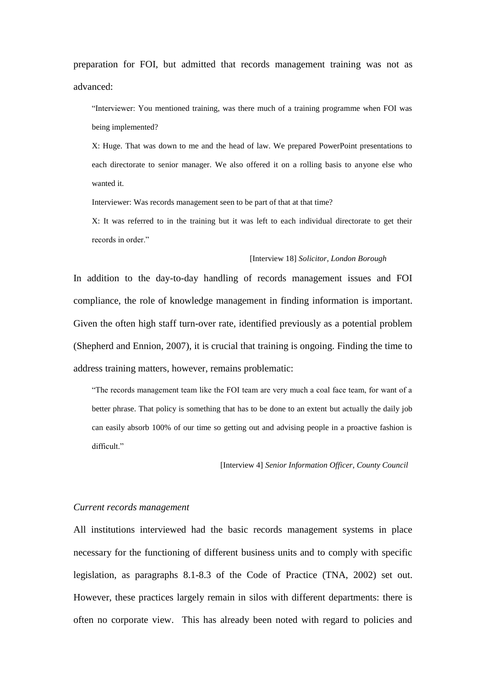preparation for FOI, but admitted that records management training was not as advanced:

"Interviewer: You mentioned training, was there much of a training programme when FOI was being implemented?

X: Huge. That was down to me and the head of law. We prepared PowerPoint presentations to each directorate to senior manager. We also offered it on a rolling basis to anyone else who wanted it.

Interviewer: Was records management seen to be part of that at that time?

X: It was referred to in the training but it was left to each individual directorate to get their records in order."

#### [Interview 18] *Solicitor, London Borough*

In addition to the day-to-day handling of records management issues and FOI compliance, the role of knowledge management in finding information is important. Given the often high staff turn-over rate, identified previously as a potential problem (Shepherd and Ennion, 2007), it is crucial that training is ongoing. Finding the time to address training matters, however, remains problematic:

"The records management team like the FOI team are very much a coal face team, for want of a better phrase. That policy is something that has to be done to an extent but actually the daily job can easily absorb 100% of our time so getting out and advising people in a proactive fashion is difficult."

[Interview 4] *Senior Information Officer, County Council*

#### *Current records management*

All institutions interviewed had the basic records management systems in place necessary for the functioning of different business units and to comply with specific legislation, as paragraphs 8.1-8.3 of the Code of Practice (TNA, 2002) set out. However, these practices largely remain in silos with different departments: there is often no corporate view. This has already been noted with regard to policies and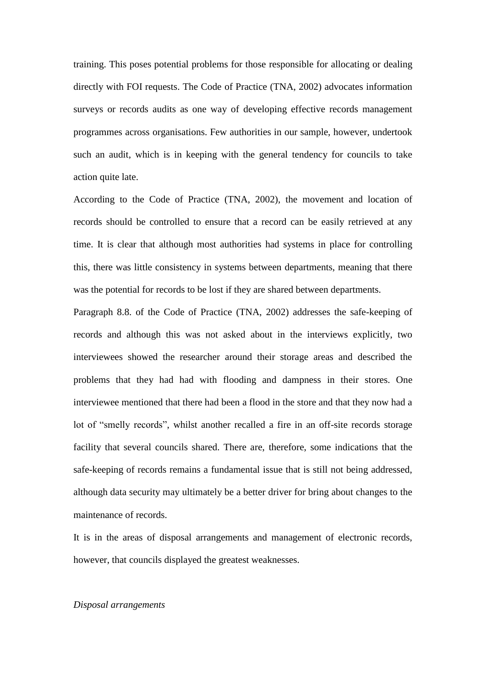training. This poses potential problems for those responsible for allocating or dealing directly with FOI requests. The Code of Practice (TNA, 2002) advocates information surveys or records audits as one way of developing effective records management programmes across organisations. Few authorities in our sample, however, undertook such an audit, which is in keeping with the general tendency for councils to take action quite late.

According to the Code of Practice (TNA, 2002), the movement and location of records should be controlled to ensure that a record can be easily retrieved at any time. It is clear that although most authorities had systems in place for controlling this, there was little consistency in systems between departments, meaning that there was the potential for records to be lost if they are shared between departments.

Paragraph 8.8. of the Code of Practice (TNA, 2002) addresses the safe-keeping of records and although this was not asked about in the interviews explicitly, two interviewees showed the researcher around their storage areas and described the problems that they had had with flooding and dampness in their stores. One interviewee mentioned that there had been a flood in the store and that they now had a lot of "smelly records", whilst another recalled a fire in an off-site records storage facility that several councils shared. There are, therefore, some indications that the safe-keeping of records remains a fundamental issue that is still not being addressed, although data security may ultimately be a better driver for bring about changes to the maintenance of records.

It is in the areas of disposal arrangements and management of electronic records, however, that councils displayed the greatest weaknesses.

# *Disposal arrangements*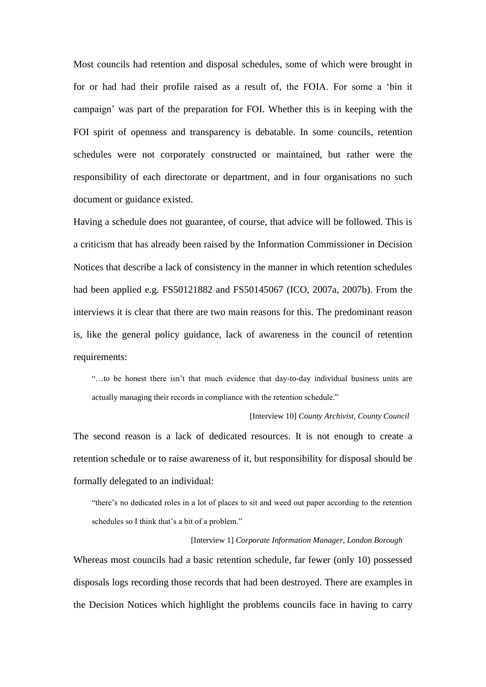Most councils had retention and disposal schedules, some of which were brought in for or had had their profile raised as a result of, the FOIA. For some a 'bin it campaign' was part of the preparation for FOI. Whether this is in keeping with the FOI spirit of openness and transparency is debatable. In some councils, retention schedules were not corporately constructed or maintained, but rather were the responsibility of each directorate or department, and in four organisations no such document or guidance existed.

Having a schedule does not guarantee, of course, that advice will be followed. This is a criticism that has already been raised by the Information Commissioner in Decision Notices that describe a lack of consistency in the manner in which retention schedules had been applied e.g. FS50121882 and FS50145067 (ICO, 2007a, 2007b). From the interviews it is clear that there are two main reasons for this. The predominant reason is, like the general policy guidance, lack of awareness in the council of retention requirements:

"…to be honest there isn't that much evidence that day-to-day individual business units are actually managing their records in compliance with the retention schedule."

#### [Interview 10] *County Archivist, County Council*

The second reason is a lack of dedicated resources. It is not enough to create a retention schedule or to raise awareness of it, but responsibility for disposal should be formally delegated to an individual:

"there's no dedicated roles in a lot of places to sit and weed out paper according to the retention schedules so I think that's a bit of a problem."

# [Interview 1] *Corporate Information Manager, London Borough*

Whereas most councils had a basic retention schedule, far fewer (only 10) possessed disposals logs recording those records that had been destroyed. There are examples in the Decision Notices which highlight the problems councils face in having to carry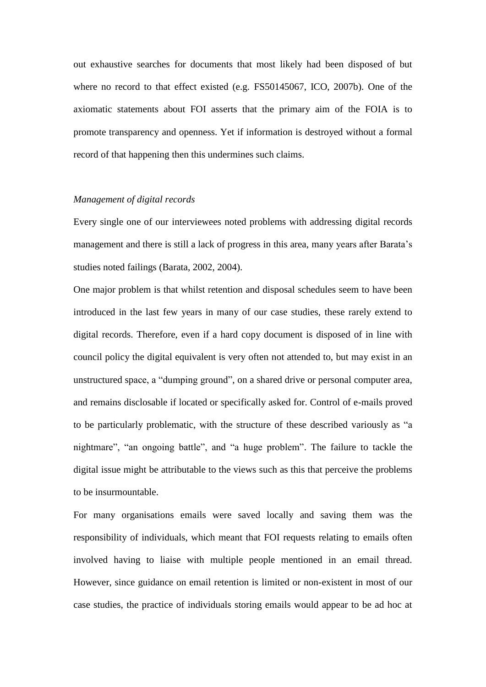out exhaustive searches for documents that most likely had been disposed of but where no record to that effect existed (e.g. FS50145067, ICO, 2007b). One of the axiomatic statements about FOI asserts that the primary aim of the FOIA is to promote transparency and openness. Yet if information is destroyed without a formal record of that happening then this undermines such claims.

#### *Management of digital records*

Every single one of our interviewees noted problems with addressing digital records management and there is still a lack of progress in this area, many years after Barata's studies noted failings (Barata, 2002, 2004).

One major problem is that whilst retention and disposal schedules seem to have been introduced in the last few years in many of our case studies, these rarely extend to digital records. Therefore, even if a hard copy document is disposed of in line with council policy the digital equivalent is very often not attended to, but may exist in an unstructured space, a "dumping ground", on a shared drive or personal computer area, and remains disclosable if located or specifically asked for. Control of e-mails proved to be particularly problematic, with the structure of these described variously as "a nightmare", "an ongoing battle", and "a huge problem". The failure to tackle the digital issue might be attributable to the views such as this that perceive the problems to be insurmountable.

For many organisations emails were saved locally and saving them was the responsibility of individuals, which meant that FOI requests relating to emails often involved having to liaise with multiple people mentioned in an email thread. However, since guidance on email retention is limited or non-existent in most of our case studies, the practice of individuals storing emails would appear to be ad hoc at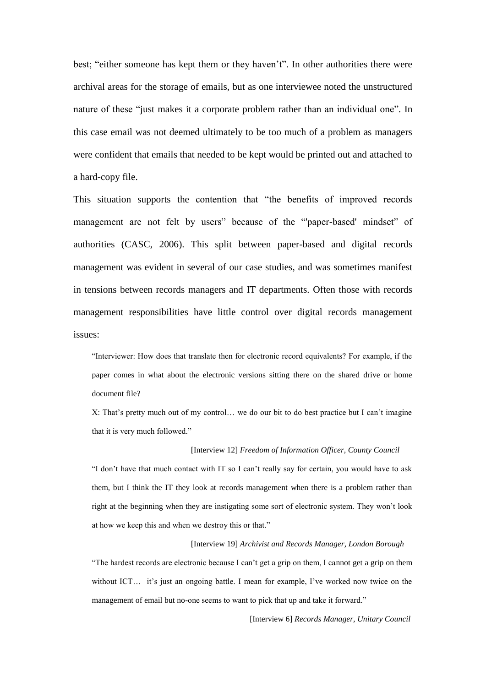best; "either someone has kept them or they haven't". In other authorities there were archival areas for the storage of emails, but as one interviewee noted the unstructured nature of these "just makes it a corporate problem rather than an individual one". In this case email was not deemed ultimately to be too much of a problem as managers were confident that emails that needed to be kept would be printed out and attached to a hard-copy file.

This situation supports the contention that "the benefits of improved records management are not felt by users" because of the "'paper-based' mindset" of authorities (CASC, 2006). This split between paper-based and digital records management was evident in several of our case studies, and was sometimes manifest in tensions between records managers and IT departments. Often those with records management responsibilities have little control over digital records management issues:

"Interviewer: How does that translate then for electronic record equivalents? For example, if the paper comes in what about the electronic versions sitting there on the shared drive or home document file?

X: That's pretty much out of my control… we do our bit to do best practice but I can't imagine that it is very much followed."

#### [Interview 12] *Freedom of Information Officer, County Council*

"I don't have that much contact with IT so I can't really say for certain, you would have to ask them, but I think the IT they look at records management when there is a problem rather than right at the beginning when they are instigating some sort of electronic system. They won't look at how we keep this and when we destroy this or that."

#### [Interview 19] *Archivist and Records Manager, London Borough*

"The hardest records are electronic because I can't get a grip on them, I cannot get a grip on them without ICT... it's just an ongoing battle. I mean for example, I've worked now twice on the management of email but no-one seems to want to pick that up and take it forward."

[Interview 6] *Records Manager, Unitary Council*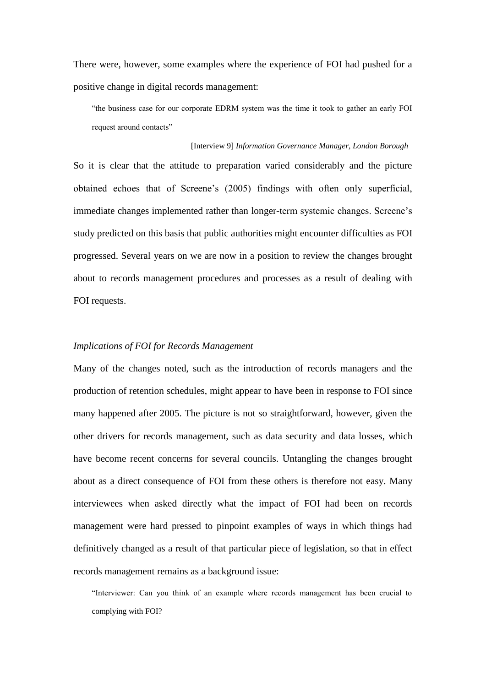There were, however, some examples where the experience of FOI had pushed for a positive change in digital records management:

"the business case for our corporate EDRM system was the time it took to gather an early FOI request around contacts"

# [Interview 9] *Information Governance Manager, London Borough*

So it is clear that the attitude to preparation varied considerably and the picture obtained echoes that of Screene's (2005) findings with often only superficial, immediate changes implemented rather than longer-term systemic changes. Screene's study predicted on this basis that public authorities might encounter difficulties as FOI progressed. Several years on we are now in a position to review the changes brought about to records management procedures and processes as a result of dealing with FOI requests.

# *Implications of FOI for Records Management*

Many of the changes noted, such as the introduction of records managers and the production of retention schedules, might appear to have been in response to FOI since many happened after 2005. The picture is not so straightforward, however, given the other drivers for records management, such as data security and data losses, which have become recent concerns for several councils. Untangling the changes brought about as a direct consequence of FOI from these others is therefore not easy. Many interviewees when asked directly what the impact of FOI had been on records management were hard pressed to pinpoint examples of ways in which things had definitively changed as a result of that particular piece of legislation, so that in effect records management remains as a background issue:

"Interviewer: Can you think of an example where records management has been crucial to complying with FOI?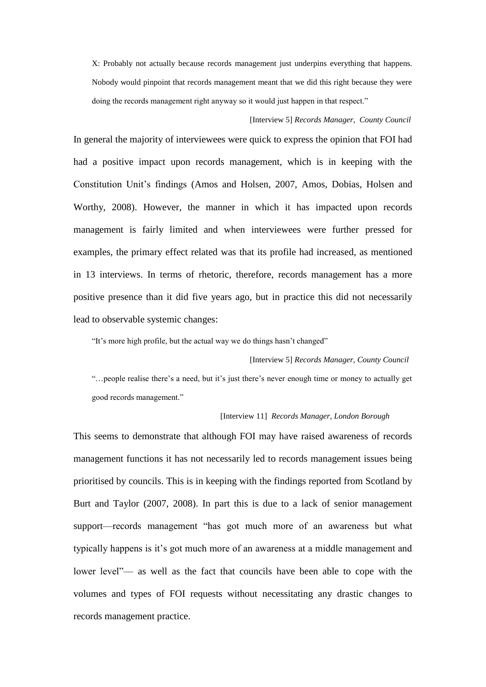X: Probably not actually because records management just underpins everything that happens. Nobody would pinpoint that records management meant that we did this right because they were doing the records management right anyway so it would just happen in that respect."

#### [Interview 5] *Records Manager, County Council*

In general the majority of interviewees were quick to express the opinion that FOI had had a positive impact upon records management, which is in keeping with the Constitution Unit's findings (Amos and Holsen, 2007, Amos, Dobias, Holsen and Worthy, 2008). However, the manner in which it has impacted upon records management is fairly limited and when interviewees were further pressed for examples, the primary effect related was that its profile had increased, as mentioned in 13 interviews. In terms of rhetoric, therefore, records management has a more positive presence than it did five years ago, but in practice this did not necessarily lead to observable systemic changes:

"It's more high profile, but the actual way we do things hasn't changed"

#### [Interview 5] *Records Manager, County Council*

"…people realise there's a need, but it's just there's never enough time or money to actually get good records management."

# [Interview 11] *Records Manager, London Borough*

This seems to demonstrate that although FOI may have raised awareness of records management functions it has not necessarily led to records management issues being prioritised by councils. This is in keeping with the findings reported from Scotland by Burt and Taylor (2007, 2008). In part this is due to a lack of senior management support—records management "has got much more of an awareness but what typically happens is it's got much more of an awareness at a middle management and lower level"— as well as the fact that councils have been able to cope with the volumes and types of FOI requests without necessitating any drastic changes to records management practice.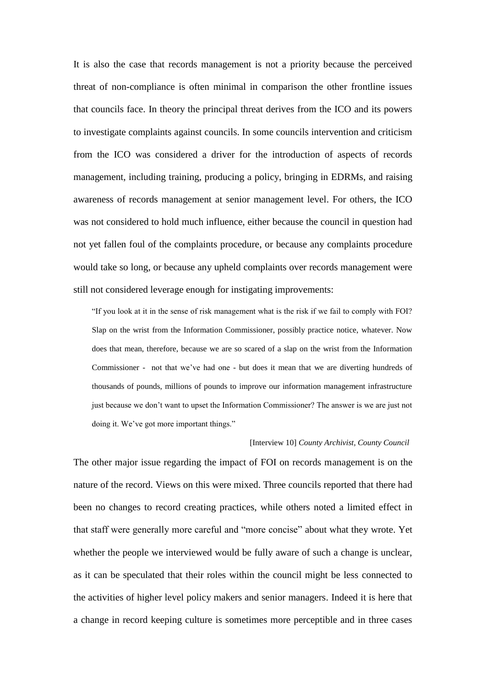It is also the case that records management is not a priority because the perceived threat of non-compliance is often minimal in comparison the other frontline issues that councils face. In theory the principal threat derives from the ICO and its powers to investigate complaints against councils. In some councils intervention and criticism from the ICO was considered a driver for the introduction of aspects of records management, including training, producing a policy, bringing in EDRMs, and raising awareness of records management at senior management level. For others, the ICO was not considered to hold much influence, either because the council in question had not yet fallen foul of the complaints procedure, or because any complaints procedure would take so long, or because any upheld complaints over records management were still not considered leverage enough for instigating improvements:

"If you look at it in the sense of risk management what is the risk if we fail to comply with FOI? Slap on the wrist from the Information Commissioner, possibly practice notice, whatever. Now does that mean, therefore, because we are so scared of a slap on the wrist from the Information Commissioner - not that we've had one - but does it mean that we are diverting hundreds of thousands of pounds, millions of pounds to improve our information management infrastructure just because we don't want to upset the Information Commissioner? The answer is we are just not doing it. We've got more important things."

[Interview 10] *County Archivist, County Council* The other major issue regarding the impact of FOI on records management is on the nature of the record. Views on this were mixed. Three councils reported that there had been no changes to record creating practices, while others noted a limited effect in that staff were generally more careful and "more concise" about what they wrote. Yet whether the people we interviewed would be fully aware of such a change is unclear, as it can be speculated that their roles within the council might be less connected to the activities of higher level policy makers and senior managers. Indeed it is here that a change in record keeping culture is sometimes more perceptible and in three cases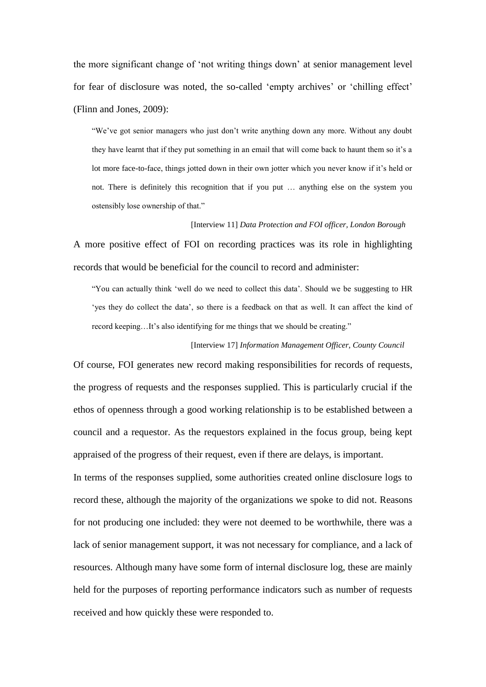the more significant change of 'not writing things down' at senior management level for fear of disclosure was noted, the so-called 'empty archives' or 'chilling effect' (Flinn and Jones, 2009):

"We've got senior managers who just don't write anything down any more. Without any doubt they have learnt that if they put something in an email that will come back to haunt them so it's a lot more face-to-face, things jotted down in their own jotter which you never know if it's held or not. There is definitely this recognition that if you put … anything else on the system you ostensibly lose ownership of that."

[Interview 11] *Data Protection and FOI officer, London Borough* A more positive effect of FOI on recording practices was its role in highlighting records that would be beneficial for the council to record and administer:

"You can actually think 'well do we need to collect this data'. Should we be suggesting to HR 'yes they do collect the data', so there is a feedback on that as well. It can affect the kind of record keeping…It's also identifying for me things that we should be creating."

[Interview 17] *Information Management Officer, County Council*

Of course, FOI generates new record making responsibilities for records of requests, the progress of requests and the responses supplied. This is particularly crucial if the ethos of openness through a good working relationship is to be established between a council and a requestor. As the requestors explained in the focus group, being kept appraised of the progress of their request, even if there are delays, is important.

In terms of the responses supplied, some authorities created online disclosure logs to record these, although the majority of the organizations we spoke to did not. Reasons for not producing one included: they were not deemed to be worthwhile, there was a lack of senior management support, it was not necessary for compliance, and a lack of resources. Although many have some form of internal disclosure log, these are mainly held for the purposes of reporting performance indicators such as number of requests received and how quickly these were responded to.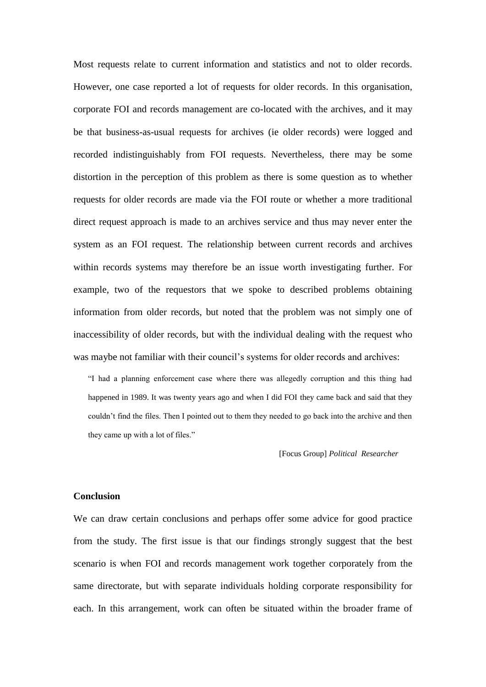Most requests relate to current information and statistics and not to older records. However, one case reported a lot of requests for older records. In this organisation, corporate FOI and records management are co-located with the archives, and it may be that business-as-usual requests for archives (ie older records) were logged and recorded indistinguishably from FOI requests. Nevertheless, there may be some distortion in the perception of this problem as there is some question as to whether requests for older records are made via the FOI route or whether a more traditional direct request approach is made to an archives service and thus may never enter the system as an FOI request. The relationship between current records and archives within records systems may therefore be an issue worth investigating further. For example, two of the requestors that we spoke to described problems obtaining information from older records, but noted that the problem was not simply one of inaccessibility of older records, but with the individual dealing with the request who was maybe not familiar with their council's systems for older records and archives:

"I had a planning enforcement case where there was allegedly corruption and this thing had happened in 1989. It was twenty years ago and when I did FOI they came back and said that they couldn't find the files. Then I pointed out to them they needed to go back into the archive and then they came up with a lot of files."

[Focus Group] *Political Researcher*

# **Conclusion**

We can draw certain conclusions and perhaps offer some advice for good practice from the study. The first issue is that our findings strongly suggest that the best scenario is when FOI and records management work together corporately from the same directorate, but with separate individuals holding corporate responsibility for each. In this arrangement, work can often be situated within the broader frame of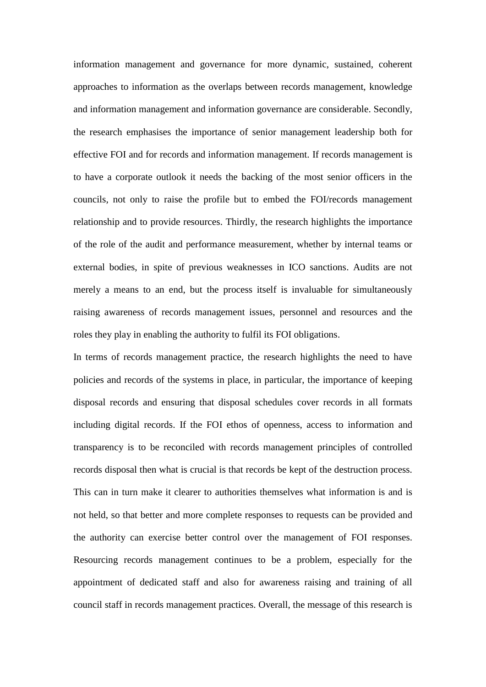information management and governance for more dynamic, sustained, coherent approaches to information as the overlaps between records management, knowledge and information management and information governance are considerable. Secondly, the research emphasises the importance of senior management leadership both for effective FOI and for records and information management. If records management is to have a corporate outlook it needs the backing of the most senior officers in the councils, not only to raise the profile but to embed the FOI/records management relationship and to provide resources. Thirdly, the research highlights the importance of the role of the audit and performance measurement, whether by internal teams or external bodies, in spite of previous weaknesses in ICO sanctions. Audits are not merely a means to an end, but the process itself is invaluable for simultaneously raising awareness of records management issues, personnel and resources and the roles they play in enabling the authority to fulfil its FOI obligations.

In terms of records management practice, the research highlights the need to have policies and records of the systems in place, in particular, the importance of keeping disposal records and ensuring that disposal schedules cover records in all formats including digital records. If the FOI ethos of openness, access to information and transparency is to be reconciled with records management principles of controlled records disposal then what is crucial is that records be kept of the destruction process. This can in turn make it clearer to authorities themselves what information is and is not held, so that better and more complete responses to requests can be provided and the authority can exercise better control over the management of FOI responses. Resourcing records management continues to be a problem, especially for the appointment of dedicated staff and also for awareness raising and training of all council staff in records management practices. Overall, the message of this research is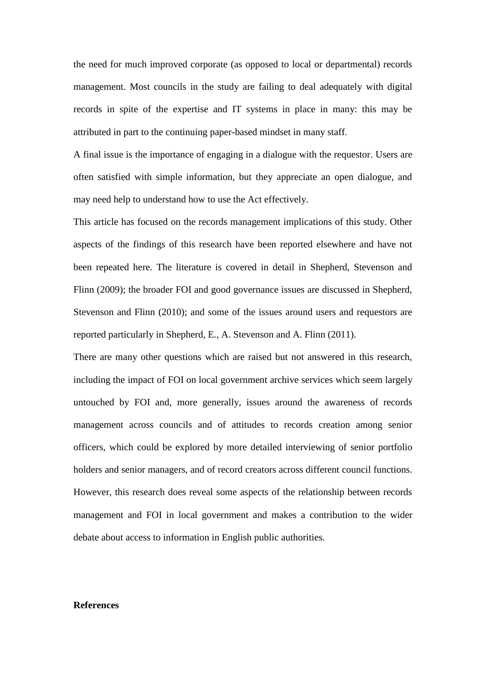the need for much improved corporate (as opposed to local or departmental) records management. Most councils in the study are failing to deal adequately with digital records in spite of the expertise and IT systems in place in many: this may be attributed in part to the continuing paper-based mindset in many staff.

A final issue is the importance of engaging in a dialogue with the requestor. Users are often satisfied with simple information, but they appreciate an open dialogue, and may need help to understand how to use the Act effectively.

This article has focused on the records management implications of this study. Other aspects of the findings of this research have been reported elsewhere and have not been repeated here. The literature is covered in detail in Shepherd, Stevenson and Flinn (2009); the broader FOI and good governance issues are discussed in Shepherd, Stevenson and Flinn (2010); and some of the issues around users and requestors are reported particularly in Shepherd, E., A. Stevenson and A. Flinn (2011).

There are many other questions which are raised but not answered in this research, including the impact of FOI on local government archive services which seem largely untouched by FOI and, more generally, issues around the awareness of records management across councils and of attitudes to records creation among senior officers, which could be explored by more detailed interviewing of senior portfolio holders and senior managers, and of record creators across different council functions. However, this research does reveal some aspects of the relationship between records management and FOI in local government and makes a contribution to the wider debate about access to information in English public authorities.

# **References**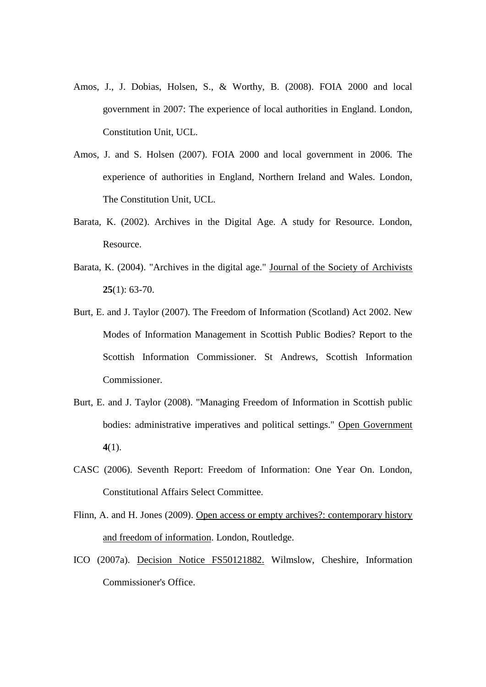- Amos, J., J. Dobias, Holsen, S., & Worthy, B. (2008). FOIA 2000 and local government in 2007: The experience of local authorities in England. London, Constitution Unit, UCL.
- Amos, J. and S. Holsen (2007). FOIA 2000 and local government in 2006. The experience of authorities in England, Northern Ireland and Wales. London, The Constitution Unit, UCL.
- Barata, K. (2002). Archives in the Digital Age. A study for Resource. London, Resource.
- Barata, K. (2004). "Archives in the digital age." Journal of the Society of Archivists **25**(1): 63-70.
- Burt, E. and J. Taylor (2007). The Freedom of Information (Scotland) Act 2002. New Modes of Information Management in Scottish Public Bodies? Report to the Scottish Information Commissioner. St Andrews, Scottish Information Commissioner.
- Burt, E. and J. Taylor (2008). "Managing Freedom of Information in Scottish public bodies: administrative imperatives and political settings." Open Government **4**(1).
- CASC (2006). Seventh Report: Freedom of Information: One Year On. London, Constitutional Affairs Select Committee.
- Flinn, A. and H. Jones (2009). Open access or empty archives?: contemporary history and freedom of information. London, Routledge.
- ICO (2007a). Decision Notice FS50121882. Wilmslow, Cheshire, Information Commissioner's Office.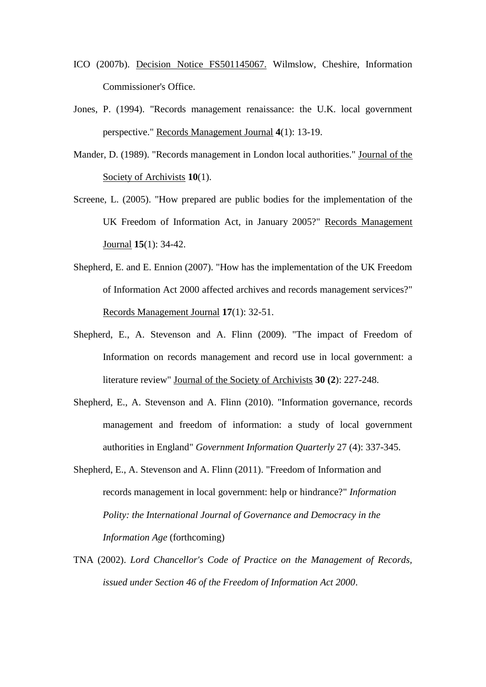- ICO (2007b). Decision Notice FS501145067. Wilmslow, Cheshire, Information Commissioner's Office.
- Jones, P. (1994). "Records management renaissance: the U.K. local government perspective." Records Management Journal **4**(1): 13-19.
- Mander, D. (1989). "Records management in London local authorities." Journal of the Society of Archivists **10**(1).
- Screene, L. (2005). "How prepared are public bodies for the implementation of the UK Freedom of Information Act, in January 2005?" Records Management Journal **15**(1): 34-42.
- Shepherd, E. and E. Ennion (2007). "How has the implementation of the UK Freedom of Information Act 2000 affected archives and records management services?" Records Management Journal **17**(1): 32-51.
- Shepherd, E., A. Stevenson and A. Flinn (2009). "The impact of Freedom of Information on records management and record use in local government: a literature review" Journal of the Society of Archivists **30 (2**): 227-248.
- Shepherd, E., A. Stevenson and A. Flinn (2010). "Information governance, records management and freedom of information: a study of local government authorities in England" *Government Information Quarterly* 27 (4): 337-345.
- Shepherd, E., A. Stevenson and A. Flinn (2011). "Freedom of Information and records management in local government: help or hindrance?" *Information Polity: the International Journal of Governance and Democracy in the Information Age* (forthcoming)
- TNA (2002). *Lord Chancellor's Code of Practice on the Management of Records, issued under Section 46 of the Freedom of Information Act 2000*.